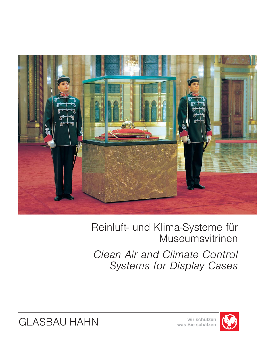

# Reinluft- und Klima-Systeme für Museumsvitrinen

*Clean Air and Climate Control Systems for Display Cases*



GLASBAU HAHN **wir schützen**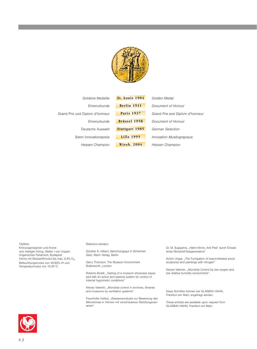

| Goldene Medaille                | <b>St. Louis 1904</b> | Golden Medal                    |  |
|---------------------------------|-----------------------|---------------------------------|--|
| Ehrenurkunde                    | Berlin 1931           | Document of Honour              |  |
| Grand Prix und Diplom d'honneur | <b>Paris 1937</b>     | Grand Prix and Diplom d'honneur |  |
| Ehrenurkunde                    | <b>Brüssel 1958</b>   | Document of Honour              |  |
| Deutsche Auswahl                | <b>Stuttgart 1985</b> | German Selection                |  |
| Sitem Innovationspreis          | <b>Lille 1995</b>     | Innovation Muséograpique        |  |
| Hessen Champion                 | <b>Wiesb. 2004</b>    | Hessen Champion                 |  |

#### Titelfoto:

Krönungsinsignien und Krone vom Heiligen König, Stefan I von Ungarn Ungarisches Parlament, Budapest Vitrine mit Stickstoffmodul bis max.  $0.3\%$  O<sub>2</sub>, Befeuchtungsmodul von 45-65% rH und Temperaturmodul von 15-24°C

#### Referenz-Literatur:

Günther S. Hilbert, Sammlungsgut in Sicherheit Gebr. Mann Verlag, Berlin

Garry Thomson, The Museum Environment Butterworth, London

Roberto Boddi, "Testing of a museum showcase equipped with an active and passive system for control of internal hygrometic conditions"

Nieves Valentin, "Microbial control in archives, libraries and museums by ventilation systems"

Fraunhofer Institut, "Glassensorstudie zur Bewertung des Mikroklimas in Vitrinen mit verschiedenen Belüftungsvarianten"

Dr. M. Sugiyama, "Hahn-Vitrine ,Anti Pest' durch Einsatz eines Stickstoff-Gasgenerators"

Achim Unger, "The Fumigation of Insect-Infested wood sculptures and paintings with nitrogen"

Nieves Valentin, "Microbial Control by low oxygen and low relative humidity environment".

Diese Schriften können bei GLASBAU HAHN, Frankfurt am Main, angefragt werden.

*These articles are available upon request from GLASBAU HAHN, Frankfurt am Main.*

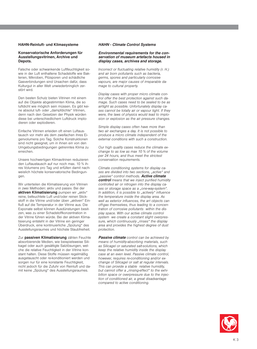#### **HAHN-Reinluft- und Klimasysteme**

#### **Konservatorische Anforderungen für Ausstellungsvitrinen, Archive und Depots.**

Falsche oder schwankende Luftfeuchtigkeit sowie in der Luft enthaltene Schadstoffe wie Bakterien, Mikroben, Pilzsporen und schädliche Gasverbindungen sind Ursachen dafür, dass Kulturgut in aller Welt unwiederbringlich zerstört wird.

Den besten Schutz bieten Vitrinen mit einem auf die Objekte abgestimmten Klima, die so luftdicht wie möglich sein müssen. Es gibt keine absolut luft- oder "dampfdichte" Vitrinen, denn nach den Gesetzen der Physik würden diese bei unterschiedlichem Luftdruck implodieren oder explodieren.

Einfache Vitrinen erleiden oft einen Luftaustausch vor mehr als dem zweifachen ihres Eigenvolumens pro Tag. Solche Konstruktionen sind nicht geeignet, um in ihnen ein von den Umgebungsbedingungen getrenntes Klima zu erreichen.

Unsere hochwertigen Klimavitrinen reduzieren den Luftaustausch auf nur noch max. 10 % ihres Volumens pro Tag und erfüllen damit nachweislich höchste konservatorische Bedingungen.

Wir unterteilen die Klimatisierung von Vitrinen in zwei Methoden: aktiv und passiv. Bei der aktiven Klimatisierung pumpen wir "aktiv" reine, befeuchtete Luft und/oder reinen Stickstoff in die Vitrine und/oder üben "aktiven" Einfluß auf die Temperatur in der Vitrine aus. Die Exponate selbst können Ausdünstungen besitzen, was zu einer Schadstoffkonzentration in der Vitrine führen würde. Bei der aktiven Klimatisierung entsteht in der Vitrine ein geringer Überdruck, eine kontinuierliche "Spülung" des Ausstellungsraumes und höchste Staubfreiheit.

Zur **passiven Klimatisierung** zählen Feuchte absorbierende Medien, wie beispielsweise Silikagel oder auch gesättigte Salzlösungen, welche die relative Feuchtigkeit in der Vitrine konstant halten. Diese Stoffe müssen regelmäßig ausgetauscht oder re-konditioniert werden und sorgen nur für eine konstante Feuchtigkeit, nicht jedoch für die Zufuhr von Reinluft und damit keine "Spülung" des Ausstellungsraumes.

#### *HAHN - Climate Control Systems*

#### *Environmental requirements for the conservation of museum artefacts housed in display cases, archives and storage.*

*Incorrect or fluctuating relative humidity (r. H.) and air born pollutants such as bacteria, germs, spores and particularly corrosive vapours, are major causes of irreparable damage to cultural property.*

*Display cases with proper micro climate control offer the best protection against such damage. Such cases need to be sealed to be as airtight as possible. Unfortunately display cases cannot be totally air or vapour tight. If they were, the laws of physics would lead to implosion or explosion as the air pressure changes.*

*Simple display cases often have more than two air exchanges a day. It is not possible to produce a micro climate independent of the external conditions with such a construction.*

*Our high quality cases reduce the climate exchange to as low as max 10 % of the volume per 24 hours, and thus meet the strictest conservation requirements.*

*Climate conditioning systems for display cases are divided into two sections, "active" and "passive" control methods. Active climate control means that we inject purified humidity controlled air or nitrogen into the display ca*ses or storage space as a "one-way-system". In addition, it is possible to "actively" influence *the temperature inside the display area. As well as exterior influences, the art objects can off-gas themselves, thus leading to a concentration of corrosive pollutants within the display space. With our active climate control system we create a constant slight overpres*sure, which continuously "rinses" the display *area and provides the highest degree of dust protection.*

*Passive climate control can be achieved by means of humidity-absorbing materials, such as Silicagel or saturated salt-solutions, which keep the relative humidity inside the display case at an even level. Passive climate control, however, requires re-conditioning and/or exchange of Silicagel or salt at regular intervals. This can provide a stable relative humidity,* but cannot offer a "rinsing-effect" to the exhi*bition space or overpressure due to the injection of conditioned air, a great disadvantage compared to active conditioning.*

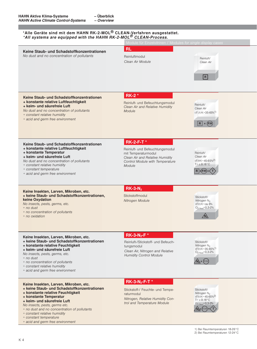#### **\*Alle Geräte sind mit dem HAHN RK-2-MOL® CLEAN-Verfahren ausgestattet.** *\*All systems are equipped with the HAHN RK-2-MOL® CLEAN-Process.*

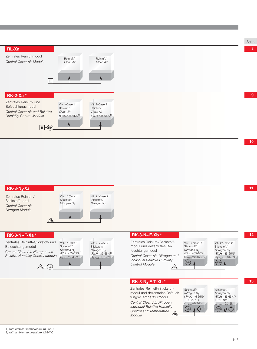![](_page_4_Figure_0.jpeg)

## **RK-3-N2-Xa**

Zentrales Reinluft-/ **Stickstoffmodul** *Central Clean Air, Nitrogen Module*

Vitr.1/ *Case 1* Stickstoff/ *Nitrogen* N<sub>2</sub> **N2**

Vitr.2/ *Case 2* Stickstoff/ *Nitrogen* N<sub>2</sub>

### **RK-3-N2-F-Xa \***

Zentrales Reinluft-/Stickstoff- und Befeuchtungsmodul *Central Clean Air, Nitrogen and Relative Humidity Control Module*

Vitr.1/ *Case 1* Stickstoff/ *Nitrogen* N<sub>2</sub> r.F/*r.H.*=35-65%1)  $O_{2 \text{ Rest}} = 0.3 - 2\%$ 

Vitr.2/ *Case 2* Stickstoff/ *Nitrogen* N<sub>2</sub> r.F/*r.H.*=35-65%1)  $O_{2 \text{ Rest}} = 0.3\% - 2\%$ 

### **RK-3-N2-F-Xb \***

Zentrales Reinluft-/Stickstoffmodul und dezentrales Befeuchtungsmodul *Central Clean Air, Nitrogen and Individual Relative Humidity Control Module* **N**<sub>2</sub> + (F/*H*)  $\overline{M_2}$ 

Vitr.1/ *Case 1* Stickstoff/ *Nitrogen* N<sub>2</sub> r.F/*r.H.*=35-65%1) O2 Rest=0,3%-2% F/*H* F/*H*

Vitr.2/ *Case 2* Stickstoff/ *Nitrogen* N<sub>2</sub> r.F/*r.H.*=35-65%1)  $O_{2 \text{ Rest}} = 0.3\% - 2\%$ 

### **RK-3-N2-F-T-Xb \***

Zentrales Reinluft-/Stickstoffmodul und dezentrales Befeuchtungs-/Temperaturmodul *Central Clean Air, Nitrogen, Individual Relative Humidity Control and Temperature Module* **N2**

Stickstoff/ *Nitrogen* N<sub>2</sub> r.F/*r.H.*=45-65%2) T=z.B.18°C  $O_{2 \text{ Rest}} = 0.3 - 2\%$ Stickstoff/ *Nitrogen* N<sub>2</sub> r.F/*r.H.*=45-65%2)  $T = z.B.18 °C$  $O_{2 \text{ Rest}} = 0.3 - 2\%$ F/*H* F/*H* **+**  $\langle$ T  $\rangle$  **(F/H) 1+** $\langle$ T

**12**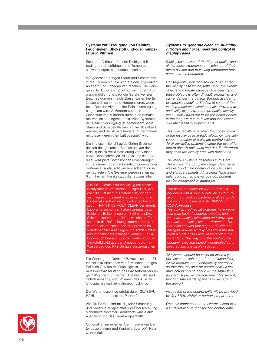#### **Systeme zur Erzeugung von Reinluft, Feuchtigkeit, Stickstoff und/oder Temperatur in Vitrinen**

Selbst bei Vitrinen höchster Dichtigkeit findet, bedingt durch Luftdruck- und Temperaturschwankungen, ein Luftaustausch statt.

Infolgedessen dringen Staub und Schadstoffe in die Vitrinen ein, die sich auf den Exponaten ablagern und Schäden verursachen. Die Reinigung der Exponate ist oft nur mit hohem Aufwand möglich und birgt die Gefahr weiterer Beschädigungen in sich. Diese Kosten hierfür lassen sich schon bald kompensieren, wenn beim Bau der Vitrinen eine Reinluftversorgung eingeplant wird. Außerdem wird das Wachstum von Mikroben durch eine behutsame Ventilation eingeschränkt. Allen Systemen der Reinluftversorgung ist gemeinsam, dass Staub und Schadstoffe durch Filter absorbiert werden, und der Ausstellungsraum permanent mit dieser gereinigten Luft "gespült" wird.

Die in diesem Bericht aufgeführten Systeme decken den gesamten Bereich ab, von der Reinluft bis zu Vollklimatisierung von Vitrinen sowie Depotschränken. Alle Systeme sind modular konzipiert. Somit können Erweiterungen vorgenommen oder die Einzelkomponenten der Systeme ausgetauscht werden, sollten Störungen auftreten. Alle Systeme werden serienmäßig mit einem Partikelstaubfilter ausgestattet.

Alle RK2 Geräte sind werkseitig mit einem Katalysator im Wassertank ausgerüstet, welcher die Luft nicht nur befeuchtet, sondern auch keim- und säurefrei auswäscht und so konservatorisch einwandfreie Luftreinheit erzeugt (HAHN RK-2-MOL<sup>®</sup> CLEAN-Verfahren). Laboruntersuchungen haben gezeigt, dass Bakterien, Bakteriensporen, Schimmelpilze, Schimmelsporen und Hefen, welche als Testkeime in die Befeuchtungskammer appliziert wurden, einem steten Absterbeprozess im Vorratsbehälter unterliegen und somit nicht in das Vitrineninnere gelangen können. Ein Laborversuch beweist, dass Schwefeldioxid und Stickstoffdioxid aus der Umgebungs-luft im Wasserbad des RK2-Gerätes ausgewaschen wurden.

Die Wartung der Geräte, z.B. Austausch der Filter, sollte in Abständen von 6 Monaten erfolgen. Bei allen Geräten mit Feuchtigkeitskontrolle muss der Wasserstand des Wasserbehälters regelmäßig überprüft werden. Die Intervalle sind zeitlich abhängig vom Volumen des Ausstellungsraumes und dem Umgebungsklima.

Der Wartungsservice erfolgt durch GLASBAU HAHN oder authorisierte Partnerfirmen.

Alle RK-Geräte sind mit digitaler Steuerung und Kontrolle ausgestattet. Bei Überschreitung sicherheitsrelevanter Grenzwerte wird Alarm ausgelöst und das Gerät abgeschaltet.

Optional ist ein externer Alarm, sowie die Datenaufzeichnung und Kontrolle über LON-Netzwerk möglich.

#### *Systems to generate clean air, humidity, nitrogen and / or temperature control in display cases*

*Display cases even of the highest quality and air-tightness experience an exchange of their micro climate due to varying barometric pressures and temperatures.* 

*Consequently, pollution and dust can enter the display case which settle upon the exhibit objects and create damage. The cleaning of these objects is often difficult, expensive, and can endanger the objects through accidents or careless handling. Studies at some of the leading museum institutions have proven that an initially expensive but high quality display case usually turns out to be the better choice in the long run due to fewer and less expensive maintenance requirements.*

*This is especially true when the construction of the display case already allows for the subsequent addition of a climate control system. All of our active systems include the use of filters to absorb pollutants and dirt. Furthermore they rinse the display area with purified air.* 

*The various systems described in this brochure cover the complete range: clean air as well as full climate control of display cases and storage cabinets. All systems have a modular concept, so the various components can be exchanged or added on.*

*The water container for the RK-2 unit is equipped with a special catalytic system to avoid the growth of bacteria or algae inside the water container. (HAHN RK-2-MOL ® CLEAN-Process)* 

*Tests by accredited laboratories have proven that thus bacteria, spores, moulds, and yeast are quickly eliminated and prevented to enter the display case environment. Further tests showed that sulphur dioxide and nitrogen dioxide, usually present in the ambient air, are rinsed and washed out in the water tank. This way only the purified, decontaminated and humidity controlled air is injected into the display space.*

*All systems should be serviced twice a year (for instance exchange of the pollution filter). All RK-modules are electronically controlled so that they will shut off automatically if any malfunction should occur. At the same time an alarm signal will be activated. This security function safeguards against any damage to the artwork.*

*Inspection of the control units will be provided by GLASBAU HAHN or authorized partners.*

*Options: connection to an external alarm or to a LON-Network to monitor and control data.* 

![](_page_5_Picture_19.jpeg)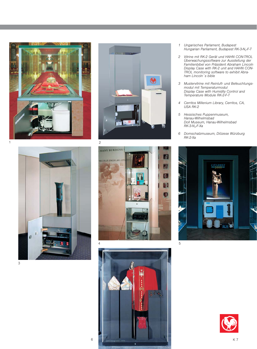![](_page_6_Picture_0.jpeg)

![](_page_6_Picture_1.jpeg)

![](_page_6_Picture_2.jpeg)

![](_page_6_Picture_3.jpeg)

![](_page_6_Picture_4.jpeg)

- *1 Ungarisches Parlament, Budapest Hungarian Parliament, Budapest RK-3-N2-F-T*
- *2 Vitrine mit RK-2 Gerät und HAHN CON-TROL Überwachungssoftware zur Ausstellung der Familienbibel von Präsident Abraham Lincoln Display Case with RK-2 unit and HAHN CON-TROL monitoring software to exhibit Abraham Lincoln´s bible*
- *3 Mustervitrine mit Reinluft- und Befeuchtungsmodul mit Temperaturmodul Display Case with Humidity Control and Temperature Module RK-2-F-T*
- *4 Cerritos Millenium Library, Cerritos, CA, USA RK-2*
- *5 Hessisches Puppenmuseum, Hanau-Wilhelmsbad Doll Museum, Hanau-Wilhelmsbad RK-3-N2-F-Xa*
- *6 Domschatzmuseum, Diözese Würzburg RK-2-Xa*

![](_page_6_Picture_11.jpeg)

![](_page_6_Picture_12.jpeg)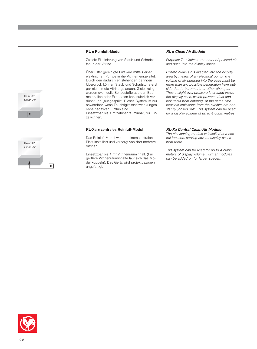#### **RL = Reinluft-Modul**

Zweck: Eliminierung von Staub und Schadstoffen in der Vitrine

Über Filter gereinigte Luft wird mittels einer elektrischen Pumpe in die Vitrinen eingeleitet. Durch den dadurch entstehenden geringen Überdruck können Staub und Schadstoffe erst gar nicht in die Vitrine gelangen. Gleichzeitig werden eventuelle Schadstoffe aus den Baumaterialien oder Exponaten kontinuierlich verdünnt und "ausgespült". Dieses System ist nur anwendbar, wenn Feuchtigkeitsschwankungen ohne negativen Einfluß sind. Einsetztbar bis 4 m<sup>3</sup> Vitrinenrauminhalt, für Einzelvitrinen.

#### **RL-Xa = zentrales Reinluft-Modul**

Das Reinluft Modul wird an einem zentralen Platz installiert und versorgt von dort mehrere Vitrinen.

Einsetztbar bis 4 m<sup>3</sup> Vitrinenrauminhalt. (Für größere Vitrinenrauminhalte läßt sich das Modul koppeln). Das Gerät wird projektbezogen angefertigt.

#### *RL = Clean Air Module*

*Purpose: To eliminate the entry of polluted air and dust into the display space* 

*Filtered clean air is injected into the display area by means of an electrical pump. The volume of air pumped into the case must be more than any possible penetration from outside due to barometric or other changes. Thus a slight over-pressure is created inside the display case, which prevents dust and pollutants from entering. At the same time possible emissions from the exhibits are constantly "rinsed out". This system can be used for a display volume of up to 4 cubic metres.*

# Reinluft/ *Clean Air* **R**

**R**

Reinluft/ *Clean Air*

#### *RL-Xa Central Clean Air Module*

*The air-cleaning module is installed at a central location, serving several display cases from there.*

*This system can be used for up to 4 cubic meters of display volume. Further modules can be added on for larger spaces.*

![](_page_7_Picture_13.jpeg)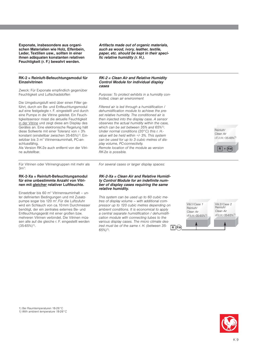**Exponate, insbesondere aus organischen Materialien wie Holz, Elfenbein, Leder, Textilien usw., sollten in einer ihnen adäquaten konstanten relativen Feuchtigkeit (r. F.) bewahrt werden.**

#### **RK-2 = Reinluft-Befeuchtungsmodul für Einzelvitrinen**

Zweck: Für Exponate empfindlich gegenüber Feuchtigkeit und Luftschadstoffen

Die Umgebungsluft wird über einen Filter geführt, durch ein Be- und Entfeuchtungsmodul auf eine festgelegte r. F. eingestellt und durch eine Pumpe in die Vitrine geleitet. Ein Feuchtigkeitssensor misst die aktuelle Feuchtigkeit in der Vitrine und zeigt diese am Display des Gerätes an. Eine elektronische Regelung hält diese Sollwerte mit einer Toleranz von ± 3% konstant (einstellbar zwischen 35-65%)1). Einsetzbar bis 3 m<sup>3</sup> Vitrinenrauminhalt, PC-anschlussfähig.

Als Version RK-2e auch entfernt von der Vitrine aufstellbar.

Für Vitrinen oder Vitrinengruppen mit mehr als  $3m^3$ :

#### **RK-2-Xa = Reinluft-Befeuchtungsmodul für eine unbestimmte Anzahl von Vitrinen mit gleicher relativer Luftfeuchte.**

Einsetztbar bis 60 m<sup>3</sup> Vitrinenrauminhalt – unter definierten Bedingungen und mit Zusatzpumpe sogar bis 120 m<sup>3</sup>. Für die Luftzufuhr wird ein Schlauch von ca.10mm Durchmesser benötigt, der ein zentrales externes Be- und Entfeuchtungsgerät mit einer großen bzw. mehreren Vitrinen verbindet. Die Vitrinen müssen alle auf die gleiche r. F. eingestellt werden  $(35-65%)$ <sup>1</sup>).

*Artifacts made out of organic materials, such as wood, ivory, leather, textile, paper, etc. should be kept in their specific relative humidity (r. H.).*

#### *RK-2 = Clean Air and Relative Humidity Control Module for individual display cases*

*Purpose: To protect exhibits in a humidity controlled, clean air environment*

*Filtered air is led through a humidification / dehumidification module to achieve the preset relative humidity. The conditioned air is then injected into the display case. A sensor observes the actual humidity within the case, which can be set between 35% and 65%1). Under normal conditions (20°C) this r. H. value will be held within +/- 3%. This system can be used for up to 3 cubic metres of display volume, PC-connectivity. Remote location of the module as version RK-2e is possible.*

Reinluft/ *Clean Air* r.F./*r.H.*=35-65%1)

![](_page_8_Picture_13.jpeg)

*For several cases or larger display spaces:*

#### *RK-2-Xa = Clean Air and Relative Humidity Control Module for an indefinite number of display cases requiring the same relative humidity.*

*This system can be used up to 60 cubic metres of display volume – with additional compressor up to 120 cubic metres depending on ambient conditions. It is economical to apply a central separate humidification / dehumidification module with connecting tubes to the various display cases. The micro climate desired must be of the same r. H. (between 35- 65%)1).*

![](_page_8_Figure_17.jpeg)

1) Bei Raumtemperaturen 18-26°C

![](_page_8_Picture_19.jpeg)

![](_page_8_Picture_20.jpeg)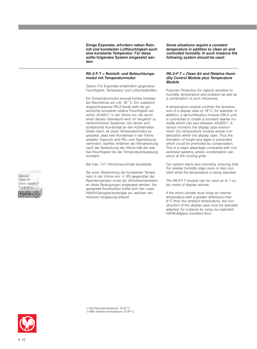**Einige Exponate, erfordern neben Reinluft und konstanter Luftfeuchtigkeit auch eine konstante Temperatur. Für diese sollte folgendes System eingesetzt werden:**

#### **RK-2-F-T = Reinluft- und Befeuchtungsmodul mit Temperaturmodul**

Zweck: Für Exponate empfindlich gegenüber Feuchtigkeit, Temperatur und Luftschadstoffen.

Ein Temperaturmodul erzeugt kühles konstantes Raumklima von z.B. 18° C. Ein zusätzlich angeschlossenes RK-2-Gerät stellt die gewünschte konstante relative Feuchtigkeit zwischen 45-65%1) in der Vitrine her, die durch einen Sensor überwacht wird. Im Vergleich zu herkömmlichen Systemen, bei denen sich schädliches Kondensat an den Kühllamellen bilden kann, ist unser Temperaturmodul so gestaltet, dass kein Kondensat in der Vitrine entsteht. Dadurch wird Pilz- und Algenbildung verhindert. Sanftes Anfahren der Klimatisierung nach der Bestückung der Vitrine hält die relative Feuchtigkeit bei der Temperaturanpassung konstant.

Bis max. 1m<sup>3</sup> Vitrinenrauminhalt einsetzbar.

Bei einer Abweichung der konstanten Temperatur in der Vitrine von +/- 6% gegenüber der Raumtemperatur muss die Vitrinenkonstruktion an diese Bedingungen angepasst werden. Als geeignete Konstruktion bietet sich hier unser HAHN-Ganzglas-Isolierglas an, welches rahmenlose Verglasung erlaubt.

*Some situations require a constant temperature in addition to clean air and controlled humidity. In such instance the following system should be used:*

#### *RK-2-F-T = Clean Air and Relative Humidity Control Module plus Temperature Module*

*Purpose: Protection for objects sensitive to humidity, temperature and pollution as well as a combination of such influences.*

*A temperature module controls the temperature of a display case to 18°C, for example. In addition, a de-humification module (RK-2 unit) is connected to create a constant relative humidity which can vary between 45-65%1). A sensor monitors the display case environment. Our temperature module avoids condensation within the display case. Thus the formation of funghi and algae is prevented, which could be promoted by condensation. This is a major advantage compared with conventional systems, where condensation can occur at the cooling grille.*

*Our system starts very smoothly, ensuring that the relative humidity stays more or less constant while the temperature is being adjusted.* 

*The RK-2-F-T module can be used up to 1 cubic metre of display volume.* 

*If the micro climate must show an internal temperature with a greater difference than 6°C from the ambient temperature, the construction of the display case must be specially adapted, for instance by using our patented HAHN-Allglass insulated door.*

![](_page_9_Picture_13.jpeg)

![](_page_9_Picture_14.jpeg)

1) Bei Raumtemperaturen 12-24°C *1) With ambient temperature 12-24°C*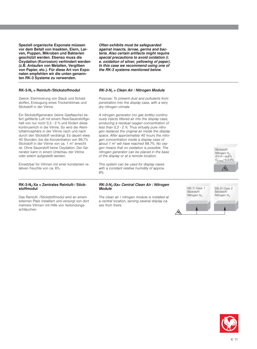**Speziell organische Exponate müssen vor dem Befall von Insekten, Eiern, Larven, Puppen, Mikroben und Bakterien geschützt werden. Ebenso muss die Oxydation (Korrosion) verhindert werden (z.B. Anlaufen von Metallen, Vergilben von Papier, etc.). Für diese Art von Exponaten empfehlen wir die unten genannten RK-3 Systeme zu verwenden.**

#### **RK-3-N2 = Reinluft-/Stickstoffmodul**

Zweck: Eleminierung von Staub und Schadstoffen, Erzeugung eines Trockenklimas und Stickstoff in der Vitrine

Ein Stickstoffgenerator (keine Gasflasche) liefert gefilterte Luft mit einem Rest-Sauerstoffgehalt von nur noch 0,3 - 2 % und fördert diese kontinuierlich in die Vitrine. So wird die Atemluftatmosphäre in der Vitrine nach und nach durch den Stickstoff verdrängt. Es dauert etwa 40 Stunden, bis die Konzentration von 99,7% Stickstoff in der Vitrine von ca. 1 m<sup>3</sup> erreicht ist. Ohne Sauerstoff keine Oxydation. Der Generator kann in einem Unterbau der Vitrine oder extern aufgestellt werden.

Einsetzbar für Vitrinen mit einer konstanten relativen Feuchte von ca. 6%.

*Often exhibits must be safeguarded against insects, larvae, germs and bacteria. Also certain artifacts might require special precautions to avoid oxidation (i. e. oxidation of silver, yellowing of paper). In this case we recommend using one of the RK-3 systems mentioned below.* 

#### *RK-3-N2 = Clean Air / Nitrogen Module*

*Purpose: To prevent dust and pollutants from penetration into the display case, with a very dry nitrogen climate* 

*A nitrogen generator (no gas bottle) continuously injects filtered air into the display case, producing a residual oxygen concentration of less than 0,3 - 2 %. Thus virtually pure nitrogen replaces the original air inside the display space. After approximately 40 hours the nitrogen concentration inside a display case of about 1 m*<sup>3</sup> *will have reached 99.7%. No oxygen means that no oxidation is possible. The nitrogen generator can be placed in the base of the display or at a remote location.*

*This system can be used for display cases with a constant relative humidity of approx. 6%.*

![](_page_10_Picture_10.jpeg)

Das Reinluft- /Stickstoffmodul wird an einem externen Platz installiert und versorgt von dort mehrere Vitrinen mit Hilfe von Verbindungsschläuchen.

*RK-3-N2-Xa= Central Clean Air / Nitrogen Module*

*The clean air / nitrogen module is installed at a central location, serving several display cases from there.*

Stickstoff/ *Nitrogen* N<sub>2</sub>  $rF/rH = caB\%$ O2 Rest=0,3-2% **N2**

![](_page_10_Figure_15.jpeg)

![](_page_10_Picture_16.jpeg)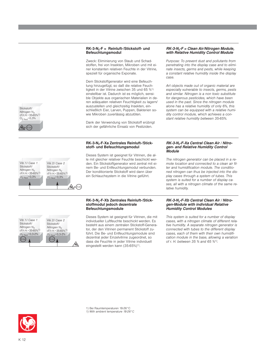#### **RK-3-N2-F = Reinluft-/Stickstoff- und Befeuchtungsmodul**

Zweck: Eliminierung von Staub und Schadstoffen, frei von Insekten, Mikroben und mit einer konstanten relativen Feuchte in der Vitrine, speziell für organische Exponate.

Dem Stickstoffgenerator wird eine Befeuchtung hinzugefügt, so daß die relative Feuchtigkeit in der Vitrine zwischen 35 und 65 %1) einstellbar ist. Dadurch ist es möglich, sensible Objekte aus organischen Materialien in deren adäquaten relativen Feuchtigkeit zu lagern/ auszustellen und gleichzeitig Insekten, einschließlich Eier, Larven, Puppen, Bakterien sowie Mikroben zuverlässig abzutöten.

Dank der Verwendung von Stickstoff erübrigt sich der gefährliche Einsatz von Pestiziden.

#### RK-3-N<sub>2</sub>-F-Xa Zentrales Reinluft-/Stick**stoff- und Befeuchtungsmodul**

Dieses System ist geeignet für Vitrinen, die alle mit gleicher relativer Feuchte beschickt werden. Ein Stickstoffgenerator wird zentral mit einem Be- und Entfeuchtungsmodul verbunden. Der konditionierte Stickstoff wird dann über ein Schlauchsystem in die Vitrine geführt.

#### *RK-3-N2-F = Clean Air/Nitrogen Module, with Relative Humidity Control Module*

*Purpose: To prevent dust and pollutants from penetrating into the display case and to eliminate insects, germs and pests, while keeping a constant relative humidity inside the display case.* 

*Art objects made out of organic material are especially vulnerable to insects, germs, pests and similar. Nitrogen is a non toxic substitute for dangerous pesticides, which have been used in the past. Since the nitrogen module alone has a relative humidity of only 6%, this system can be equipped with a relative humidity control module, which achieves a constant relative humidity between 35-65%.*

#### *RK-3-N2-F-Xa Central Clean Air / Nitrogen- and Relative Humidity Control Module*

*The nitrogen generator can be placed in a remote location and connected to a clean air filter and humidification module. The conditioned nitrogen can thus be injected into the display cases through a system of tubes. This system is suited for a number of display cases, all with a nitrogen climate of the same relative humidity.*

![](_page_11_Figure_11.jpeg)

Vitr.2/ *Case 2* Stickstoff/ *Nitrogen* N<sub>2</sub> r.F/*r.H.*=35-65%1)  $O_{2 \text{ Rest}} = 0.3\%$ 

**A**<sub>2</sub>+(F/H)

#### **RK-3-N2-F-Xb Zentrales Reinluft-/Stickstoffmodul jedoch dezentrale Befeuchtungsmodule**

Dieses System ist geeignet für Vitrinen, die mit individueller Luftfeuchte beschickt werden. Es besteht aus einem zentralen Stickstoff-Generator, der den Vitrinen permanent Stickstoff zuführt. Die Be- und Entfeuchtungsmodule sind dezentral jeder Einzelvitrine zugeordnet, so dass die Feuchte in jeder Vitrine individuell eingestellt werden kann (35-65%)<sup>1)</sup>.

#### *RK-3-N2-F-Xb Central Clean Air / Nitrogen-Module with individual Relative Humidity Control Modules*

*This system is suited for a number of display cases, with a nitrogen climate of different relative humidity. A separate nitrogen generator is connected with tubes to the different display cases, each of them with their own humidification module in the base, allowing a variation of r. H. between 35 % and 65 %1).*

1) Bei Raumtemperaturen 18-26°C *1) With ambient temperature 18-26°C*

![](_page_11_Picture_17.jpeg)

Stickstoff/ *Nitrogen* N<sub>2</sub> r.F/*r.H.*=35-65%1)  $O_{2 \text{ Rest}} = 0.3\%$ 

**N**<sub>2</sub>+ (F/H)

Vitr.1/ *Case 1* Stickstoff/ *Nitrogen* N<sub>2</sub> r.F/*r.H.*=35-65%1)  $O_{2 \text{ Rest}} = 0.3\%$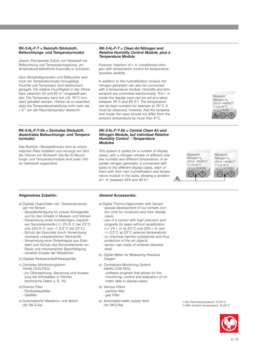#### **RK-3-N2-F-T = Reinluft-/Stickstoff-, Befeuchtungs- und Temperaturmodul**

Zweck: Permanente Zufuhr von Stickstoff mit Befeuchtung und Temperaturregelung, um temperaturempfindliche Exponate zu schützen.

Dem Stickstoffgenerator und Befeuchter wird noch ein Temperaturmodul hinzugefügt. Feuchte und Temperatur sind elektronisch geregelt. Die relative Feuchtigkeit in der Vitrine kann zwischen 45 und 65 %1) eingestellt werden. Die Temperatur kann bei z.B. 18°C konstant gehalten werden. Hierbei ist zu beachten, dass die Temperatureinstellung nicht mehr als ± 6° von der Raumtemperatur abweicht.

#### **RK-3-N2-F-T-Xb = Zentrales Stickstoff, dezentrales Befeuchtungs- und Temperaturmodul**

Das Reinluft- /Stickstoffmodul wird an einem externen Platz installiert und versorgt von dort die Vitrinen mit Stickstoff. Die Be-/Entfeuchtungs- und Temperaturmodule sind jeder Vitrine individuell zugeordnet.

#### *RK-3-N2-F-T = Clean Air/Nitrogen and Relative Humidity Control Module, plus a Temperature Module*

*Purpose: Injection of r. H. conditioned nitrogen with temperature control for temperature sensitive exhibits.*

*In addition to the humidification module the nitrogen generator can also be connected with a temperature module. Humidity and temperature are controlled electronically. The r. H. inside the display case can be set at a value between 45 % and 65 %1). The temperature can be kept constant for example at 18°C. It must be observed, however, that the temperature inside the case should not differ from the ambient temperature by more than 6°C.*

#### *RK-3-N2-F-T-Xb = Central Clean Air and Nitrogen Module, but individual Relative Humidity Control / Temperature Modules*

*This system is suited for a number of display cases, with a nitrogen climate of different relative humidity and different temperature. A separate nitrogen generator is connected with tubes to the different display cases, each of them with their own humidification and temperature module in the base, allowing a variation of r. H. between 45% and 65 %*1)*.*

Stickstoff/ *Nitrogen* N<sub>2</sub> r.F/*r.H.*=45-65%1) T=z.B.18°C  $O_{2 \text{ Rest}} = 0.3 - 2\%$ F/*H* F/*H*

**N2**

![](_page_12_Picture_11.jpeg)

Stickstoff/ *Nitrogen* N $rF/rH = 45.65\%1$  $T = z.B.18°C$  $=0.3%$ **N2+** F/*H* **+ T**

#### **Allgemeines Zubehör:**

- a) Digitale Hygrometer inkl. Temperaturanzeiger mit Sensor
	- Spezialanfertigung für unsere Klimageräte und für den Einsatz in Museen und Vitrinen
	- Verwendung eines hochwertigen, kapazitiven Sensorelements (+/- 2% R. F. bei 23°C und 33% R. F. und +/- 0,3°C bei 23°C)
	- Schutz der Exponate durch Verwendung chemisch unbedenklicher Werkstoffe
	- Verwendung einer Sinterklappe aus Edelstahl zum Schutz des Sensorelements vor Staub und mechanischer Beschädigung - variabler Einsatz der Messfühler
- b) Digitale Restsauerstoff-Messgeräte
- c) Zentrales Monitorprogramm
	- HAHN CON-TROL
	- zur Überwachung, Steuerung und Auswertung der Klimadaten in Vitrinen (technische Daten s. S. 15)
- d) Diverse Filter
	- Partikelstaubfilter
	- Gasfilter
- e) Automatische Wasserzu- und abfuhr (für RK-2-Xa)

#### *General Accessories:*

- a) *Digital Thermo-Hygrometer with Sensor - special development of our climate control units for museums and their display* 
	- *cases - use of a sensor with high precision and longevity for years without recalibration (+/- 2% r. H. at 23°C und 33% r. H. and*
	- *+/- 0,3°C at 23°C external temperature) - no chemical harmful substances and thus*
	- *protection of the art objects - sensor cap made of sintered stainless*
- *steel b) Digital Meter for Measuring Residual*
- *Oxygen c) Centralized Monitoring System*
- *HAHN CON-TROL*
- *software program that allows for the monitoring, control and evaluation of climatic data in display cases*
- *d) Various Filters*
	- *particle filter*
	- *gas Filter*
- *e) Automated water supply feed (for RK-2-Xa)*

1) Bei Raumtemperaturen 12-24°C *1) With ambient temperature 12-24°C*

![](_page_12_Picture_40.jpeg)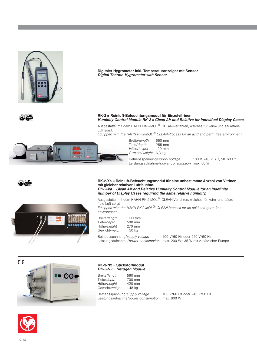![](_page_13_Picture_0.jpeg)

**Digitaler Hygrometer inkl. Temperaturanzeiger mit Sensor** *Digital Thermo-Hygrometer with Sensor*

![](_page_13_Picture_2.jpeg)

#### **RK-2 = Reinluft-Befeuchtungsmodul für Einzelvitrinen** *Humidity Control Module RK-2 = Clean Air and Relative for individual Display Cases*

Ausgestattet mit dem HAHN RK-2-MOL<sup>®</sup> CLEAN-Verfahren, welches für keim- und säurefreie Luft sorat.

*Equipped with the HAHN RK-2-MOL® CLEAN-Process for an acid and germ free environment.*

![](_page_13_Picture_6.jpeg)

Breite/*length* 550 mm Tiefe/*depth* 255 mm Höhe/height Gewicht/*weight* 6,3 kg

Betriebsspannung/*supply voltage* 100 V..240 V, AC, 50..60 Hz Leistungsaufnahme/*power consumption* max. 50 W

![](_page_13_Picture_9.jpeg)

![](_page_13_Picture_10.jpeg)

**RK-2-Xa = Reinluft-Befeuchtungsmodul für eine unbestimmte Anzahl von Vitrinen mit gleicher relativer Luftfeuchte.** *RK-2-Xa = Clean Air and Relative Humidity Control Module for an indefinite number of Display Cases requiring the same relative humidity.*

Ausgestattet mit dem HAHN RK-2-MOL® CLEAN-Verfahren, welches für keim- und säurefreie Luft sorgt.

*Equipped with the HAHN RK-2-MOL® CLEAN-Process for an acid and germ free environment.*

| Breite/length  | 1000 mm |
|----------------|---------|
| Tiefe/depth    | 500 mm  |
| Höhe/height    | 270 mm  |
| Gewicht/weight | 50 ka   |

Betriebsspannung/*supply voltage* 100 V/60 Hz oder 240 V/50 Hz Leistungsaufnahme/*power consumption* max. 200 W+ 35 W mit zusätzlicher Pumpe

![](_page_13_Picture_16.jpeg)

#### **RK-3-N2 = Stickstoffmodul** *RK-3-N2 = Nitrogen Module*

| Breite/length  | 560 mm |  |
|----------------|--------|--|
| Tiefe/depth    | 700 mm |  |
| Höhe/height    | 420 mm |  |
| Gewicht/weight | 48 kg  |  |

Betriebsspannung/*supply voltage* 100 V/60 Hz oder 240 V/50 Hz Leistungsaufnahme/*power consumption* max. 800 W

![](_page_13_Picture_20.jpeg)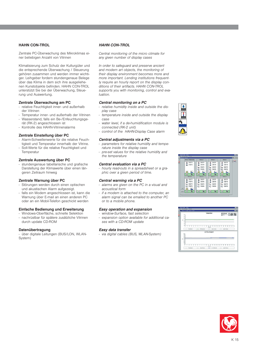#### **HAHN CON-TROL**

Zentrale PC-Überwachung des Mikroklimas einer beliebigen Anzahl von Vitrinen

Klimatisierung zum Schutz der Kulturgüter und die entsprechende Überwachung / Steuerung gehören zusammen und werden immer wichtiger. Leihgeber fordern stundengenaue Belege über das Klima in dem sich ihre ausgeliehenen Kunstobjekte befinden. HAHN CON-TROL unterstützt Sie bei der Überwachung, Steuerung und Auswertung.

#### **Zentrale Überwachung am PC**

- relative Feuchtigkeit inner- und außerhalb der Vitrinen
- Temperatur inner- und außerhalb der Vitrinen Wasserstand, falls ein Be-/Enfeuchtungsgerät (RK-2) angeschlossen ist
- Kontrolle des HAHN-Vitrinenalarms

#### **Zentrale Einstellung über PC**

- Alarm-Schwellenwerte für die relative Feuchtigkeit und Temperatur innerhalb der Vitrine.
- Soll-Werte für die relative Feuchtigkeit und Temperatur

#### **Zentrale Auswertung über PC**

- stundengenaue tabellarische und grafische Darstellung der Klimawerte über einen längeren Zeitraum hinweg

#### **Zentrale Warnung über PC**

- Störungen werden durch einen optischen und akustischen Alarm aufgezeigt.
- falls ein Modem angeschlossen ist, kann die Warnung über E-mail an einen anderen PC oder an ein Mobil-Telefon geschickt werden

#### **Einfache Bedienung und Erweiterung**

- Windows-Oberfläche, schnelle Selektion - nachrüstbar für spätere zusätzliche Vitrinen
- durch update CD-ROM

#### **Datenübertragung**

- über digitale Leitungen (BUS/LON, WLAN-System)

#### *HAHN CON-TROL*

*Central monitoring of the micro climate for any given number of display cases*

*In order to safeguard and preserve ancient and modern art objects, the monitoring of their display environment becomes more and more important. Lending institutions frequently require an hourly report on the display conditions of their artifacts. HAHN CON-TROL supports you with monitoring, control and evaluation.*

#### *Central monitoring on a PC*

- *relative humidity inside and outside the display case*
- *temperature inside and outside the display case*
- *water level, if a de-humidification module is connected (RK-2 unit)*
- *control of the HAHN-Display Case alarm*

#### *Central adjustments via a PC*

- *parameters for relative humidity and temperature inside the display case*
- *pre-set values for the relative humidity and the temperature*

#### *Central evaluation via a PC*

*- hourly read-outs in a spreadsheet or a graphic over a given period of time.* 

#### *Central warning via a PC*

- *alarms are given on the PC in a visual and acoustical form*
- *if a modem is attached to the computer, an alarm signal can be emailed to another PC or to a mobile phone.*

#### *Easy operation and expansion*

- *window-Surface, fast selection*
- *expansion option available for additional cases with a CD-ROM update*

#### *Easy data transfer*

*- via digital cables (BUS, WLAN-System)*

![](_page_14_Picture_41.jpeg)

![](_page_14_Picture_42.jpeg)

![](_page_14_Picture_43.jpeg)

![](_page_14_Picture_44.jpeg)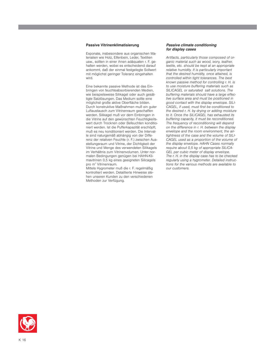#### **Passive Vitrinenklimatisierung**

Exponate, insbesondere aus organischen Materialien wie Holz, Elfenbein, Leder, Textilien usw., sollten in einer ihnen adäquaten r. F. gehalten werden, wobei es entscheidend darauf ankommt, daß der einmal festgelegte Sollwert mit möglichst geringer Toleranz eingehalten wird.

Eine bekannte passive Methode ist das Einbringen von feuchteabsorbierenden Medien, wie beispielsweise Silikagel oder auch gesättigte Salzlösungen. Das Medium sollte eine möglichst große aktive Oberfläche bilden. Durch konstruktive Maßnahmen muß ein guter Luftaustausch zum Vitrinenraum geschaffen werden. Silikagel muß vor dem Einbringen in die Vitrine auf den gewünschten Feuchtigkeitswert durch Trocknen oder Befeuchten konditioniert werden. Ist die Pufferkapazität erschöpft, muß es neu konditioniert werden. Die Intervalle sind naturgemäß abhängig von der Differenz der relativen Feuchte (r. F.) zwischen Ausstellungsraum und Vitrine, der Dichtigkeit der Vitrine und Menge des verwendeten Silikagels im Verhältnis zum Vitrinenvolumen. Unter normalen Bedingungen genügen bei HAHN-Klimavitrinen 0,5 kg eines geeigneten Silicagels pro m3 Vitrinenraum.

Mittels Hygrometer muß die r. F. regelmäßig kontrolliert werden. Detaillierte Hinweise stehen unseren Kunden zu den verschiedenen Methoden zur Verfügung.

#### *Passive climate conditioning for display cases*

*Artifacts, particularly those composed of organic material such as wood, ivory, leather, textile, etc. should be kept at an appropriate relative humidity. It is particularly important that the desired humidity, once attained, is controlled within tight tolerances. The best known passive method for controlling r. H. is to use moisture buffering materials such as SILICAGEL or saturated salt solutions. The buffering materials should have a large effective surface area and must be positioned in good contact with the display envelope. SILI-CAGEL, if used, must first be conditioned to the desired r. H. by drying or adding moisture to it. Once the SILICAGEL has exhausted its buffering capacity, it must be reconditioned. The frequency of reconditioning will depend on the difference in r. H. between the display envelope and the room environment, the airtightness of the case and the volume of SILI-CAGEL used as a proportion of the volume of the display envelope. HAHN Cases normally require about 0,5 kg of appropriate SILICA-GEL per cubic meter of display envelope. The r. H. in the display case has to be checked regularly using a hygrometer. Detailed instructions for the various methods are available to our customers.*

![](_page_15_Picture_6.jpeg)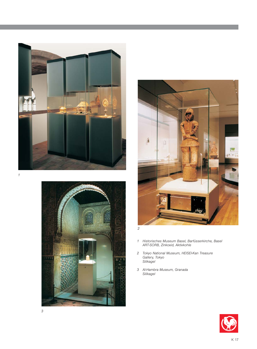![](_page_16_Picture_0.jpeg)

![](_page_16_Picture_1.jpeg)

![](_page_16_Picture_2.jpeg)

*2*

- *1 Historisches Museum Basel, Barfüsserkirche, Basel ART-SORB, Zinkoxid, Aktivkohle*
- *2 Tokyo National Museum, HEISEI-Kan Treasure Gallery, Tokyo Silikagel*
- *3 Al-Hambra Museum, Granada Silikagel*

![](_page_16_Picture_7.jpeg)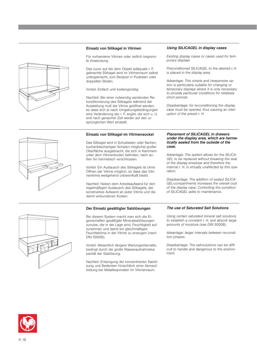#### **Einsatz von Silikagel in Vitrinen**

Für vorhandene Vitrinen oder zeitlich begrenzte Anwendung

Das zuvor auf die dem Objekt adäquate r. F. gebrachte Silikagel wird im Vitrinenraum selbst untergebracht, zum Beispiel in Podesten oder doppelten Böden.

Vorteil: Einfach und kostengünstig.

Nachteil: Bei einer notwendig werdenden Rekonditionierung des Silikagels während der Ausstellung muß die Vitrine geöffnet werden, so dass sich je nach Umgebungsbedingungen eine Veränderung der r. F. ergibt, die sich u. U. erst nach geraumer Zeit wieder auf den ursprünglichen Wert einstellt.

#### **Einsatz von Silikagel im Vitrinensockel**

Das Silikagel wird in Schubladen oder flachen, kuchenblechartigen Schalen möglichst großer Oberfläche ausgebracht, die sich in Kammern unter dem Vitrinenboden befinden, nach außen hin hermetisch verschlossen.

Vorteil: Ein Austausch des Silikagels ist ohne Öffnen der Vitrine möglich, so dass das Vitrinenklima weitgehend unbeeinflußt bleibt.

Nachteil: Neben dem Arbeitsaufwand für den regelmäßigen Austausch des Silikagels, der konstruktive Aufwand an jeder Vitrine und die damit verbundenen Kosten.

#### **Der Einsatz gesättigter Salzlösungen**

Bei diesem System macht man sich die Eigenschaften gesättigter Mineralsalzlösungen zunutze, die in der Lage sind, Feuchtigkeit aufzunehmen und damit ein gleichmäßiges Feuchteklima in der Vitrine zu erzeugen (nach DIN 50008).

Vorteil: Wesentlich längere Wartungsintervalle, bedingt durch die große Wasseraufnahmekapazität der Salzlösung.

Nachteil: Entsorgung der konzentrierten Salzlösung und Bedenken hinsichtlich einer Aerosolbildung bei Metallexponaten im Vitrinenraum.

#### *Using SILICAGEL in display cases*

*Existing display cases or cases used for temporary displays*

*Preconditioned SILICAGEL to the desired r. H. is placed in the display area.* 

*Advantage: This simple and inexpensive option is particularly suitable for changing or temporary displays where it is only necessary to provide particular conditions for relatively short periods.*

*Disadvantage: for re-conditioning the display case must be opened, thus causing an interuption of the preset r. H.*

#### *Placement of SILICAGEL in drawers under the display area, which are hermetically sealed from the outside of the case.*

*Advantage: The system allows for the SILICA-GEL to be replaced without breaking the seal of the display envelope and therefore the internal r. H. is virtually unaffected by this operation.* 

*Disadvantage: The addition of sealed SILICA-GEL-compartments increases the overall cost of the display case. Controlling the condition of SILICAGEL adds to maintenance.*

#### *The use of Saturated Salt Solutions*

*Using certain saturated mineral salt solutions to establish a constant r. H. and absorb large amounts of moisture (see DIN 50008).*

*Advantage: larger intervals between re-condition phases.*

*Disadvantage: The salt-solutions can be difficult to handle and dangerous to the environment.*

![](_page_17_Picture_25.jpeg)

![](_page_17_Figure_26.jpeg)

![](_page_17_Figure_27.jpeg)

![](_page_17_Picture_28.jpeg)

![](_page_17_Picture_30.jpeg)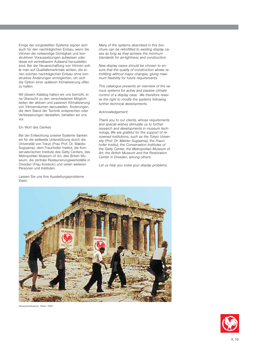Einige der vorgestellten Systeme eignen sich auch für den nachträglichen Einbau, wenn die Vitrinen die notwendige Dichtigkeit und konstruktiven Voraussetzungen aufweisen oder diese mit vertretbarem Aufwand herzustellen sind. Bei der Neuanschaffung von Vitrinen sollte man auf Qualitätsmerkmale achten, die einen solchen nachträglichen Einbau ohne konstruktive Änderungen ermöglichen, um sich die Option einer späteren Klimatisierung offen zu halten.

Mit diesem Katalog haben wir uns bemüht, eine Übersicht zu den verschiedenen Möglichkeiten der aktiven und passiven Klimatisierung von Vitrinenräumen darzustellen. Änderungen, die dem Stand der Technik entsprechen oder Verbesserungen darstellen, behalten wir uns vor.

Ein Wort des Dankes

Bei der Entwicklung unserer Systeme danken wir für die weltweite Unterstützung durch die Universität von Tokyo (Frau Prof. Dr. Makiko Sugiyama), dem Fraunhofer Institut, die Konservatorischen Institute des Getty Centers, des Metropolitan Museum of Art, des British Museum, die zentrale Restaurierungswerkstätte in Dresden (Frau Kossicki) und vielen weiteren Personen und Instituten.

Lassen Sie uns Ihre Ausstellungsprobleme lösen.

*Many of the systems described in this brochure can be retrofitted to existing display cases as long as they achieve the minimum standards for air-tightness and construction.*

*New display cases should be chosen to ensure that the quality of construction allows retrofitting without major changes, giving maximum flexibility for future requirements.*

*This catalogue presents an overview of the various systems for active and passive climate control of a display case. We therefore reserve the right to modify the systems following further technical developments.*

#### *Acknowledgement:*

*Thank you to our clients, whose requirements and special wishes stimulate us to further research and developments in museum technology. We are grateful for the support of renowned institutions, such as the Tokyo University (Prof. Dr. Makiko Sugiyama), the Fraunhofer Institut, the Conservation Institutes of the Getty Center, the Metropolitan Museum of Art, the British Museum and the Restoration Center in Dresden, among others.* 

*Let us help you solve your display problems.*

![](_page_18_Picture_11.jpeg)

Akropolis-Museum, Athen 1953

![](_page_18_Picture_13.jpeg)